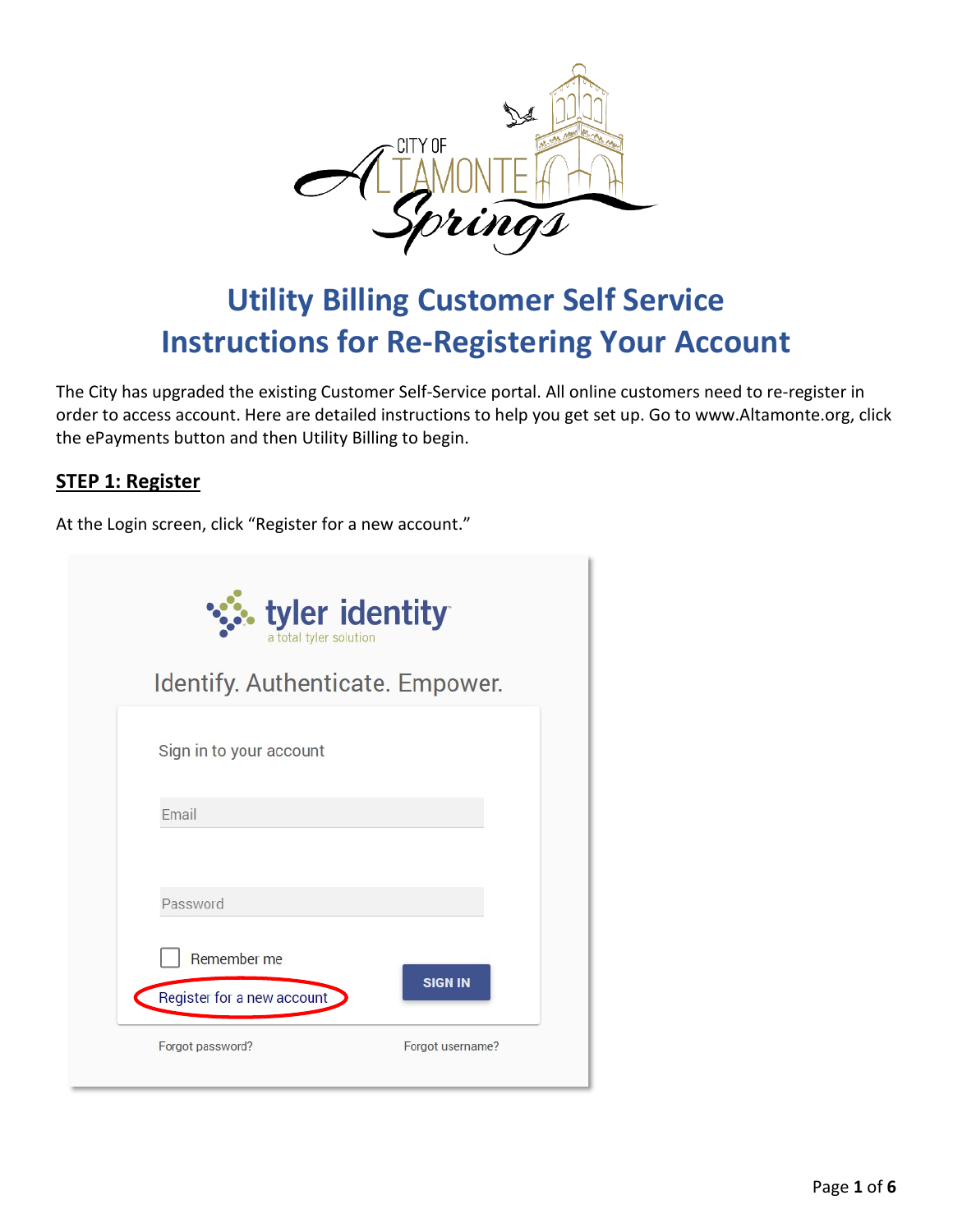

# **Utility Billing Customer Self Service Instructions for Re-Registering Your Account**

The City has upgraded the existing Customer Self-Service portal. All online customers need to re-register in order to access account. Here are detailed instructions to help you get set up. Go to www.Altamonte.org, click the ePayments button and then Utility Billing to begin.

### **STEP 1: Register**

At the Login screen, click "Register for a new account."

| <b>:</b> tyler identity<br>a total tyler solution |                  |
|---------------------------------------------------|------------------|
| Identify. Authenticate. Empower.                  |                  |
| Sign in to your account                           |                  |
| Email                                             |                  |
| Password                                          |                  |
| Remember me                                       | <b>SIGN IN</b>   |
| Register for a new account                        |                  |
| Forgot password?                                  | Forgot username? |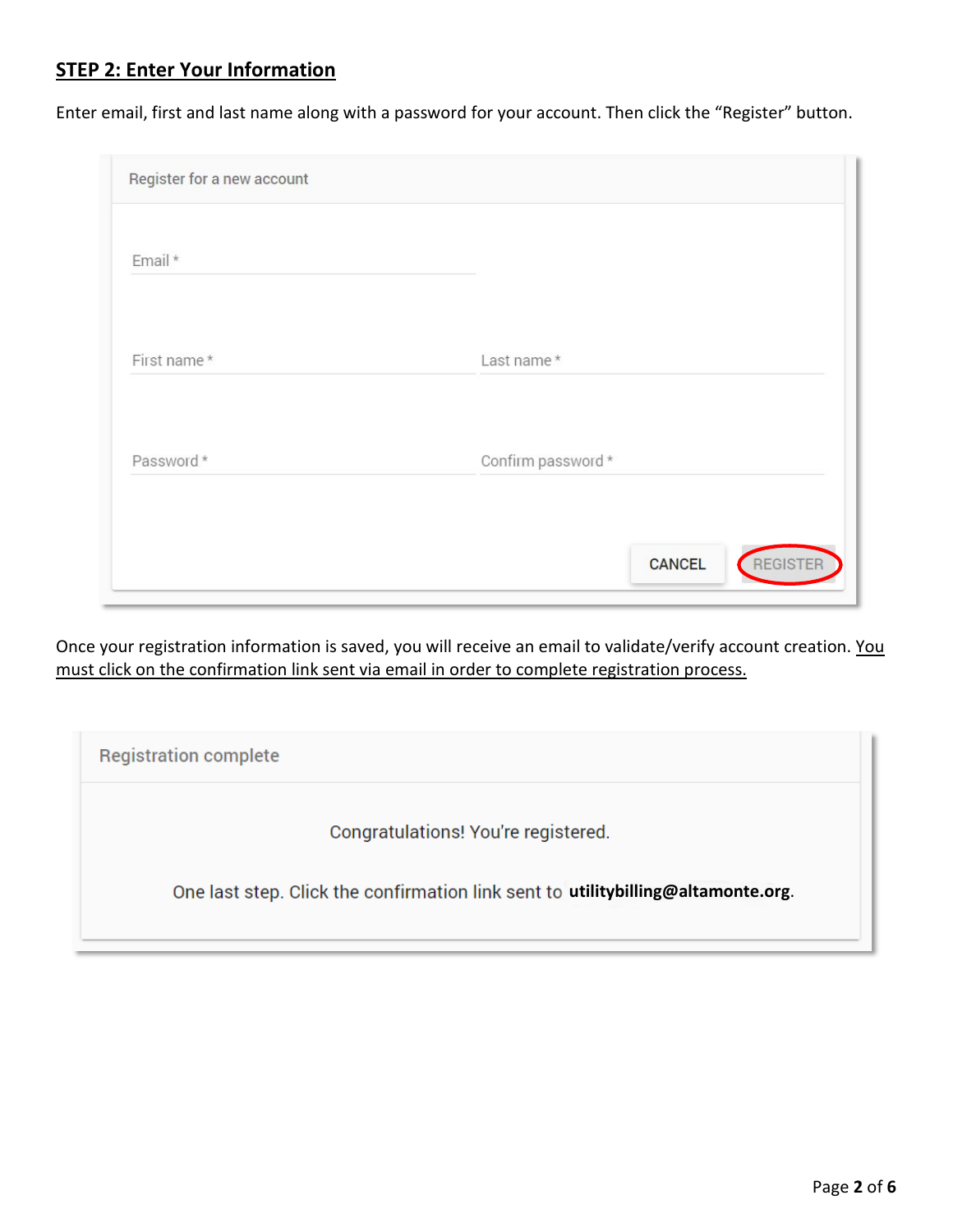## **STEP 2: Enter Your Information**

Enter email, first and last name along with a password for your account. Then click the "Register" button.

| Register for a new account |                           |
|----------------------------|---------------------------|
| Email *                    |                           |
| First name*                | Last name*                |
| Password*                  | Confirm password *        |
|                            | REGISTER<br><b>CANCEL</b> |

Once your registration information is saved, you will receive an email to validate/verify account creation. You must click on the confirmation link sent via email in order to complete registration process.

| <b>Registration complete</b>                                                     |  |
|----------------------------------------------------------------------------------|--|
| Congratulations! You're registered.                                              |  |
| One last step. Click the confirmation link sent to utilitybilling@altamonte.org. |  |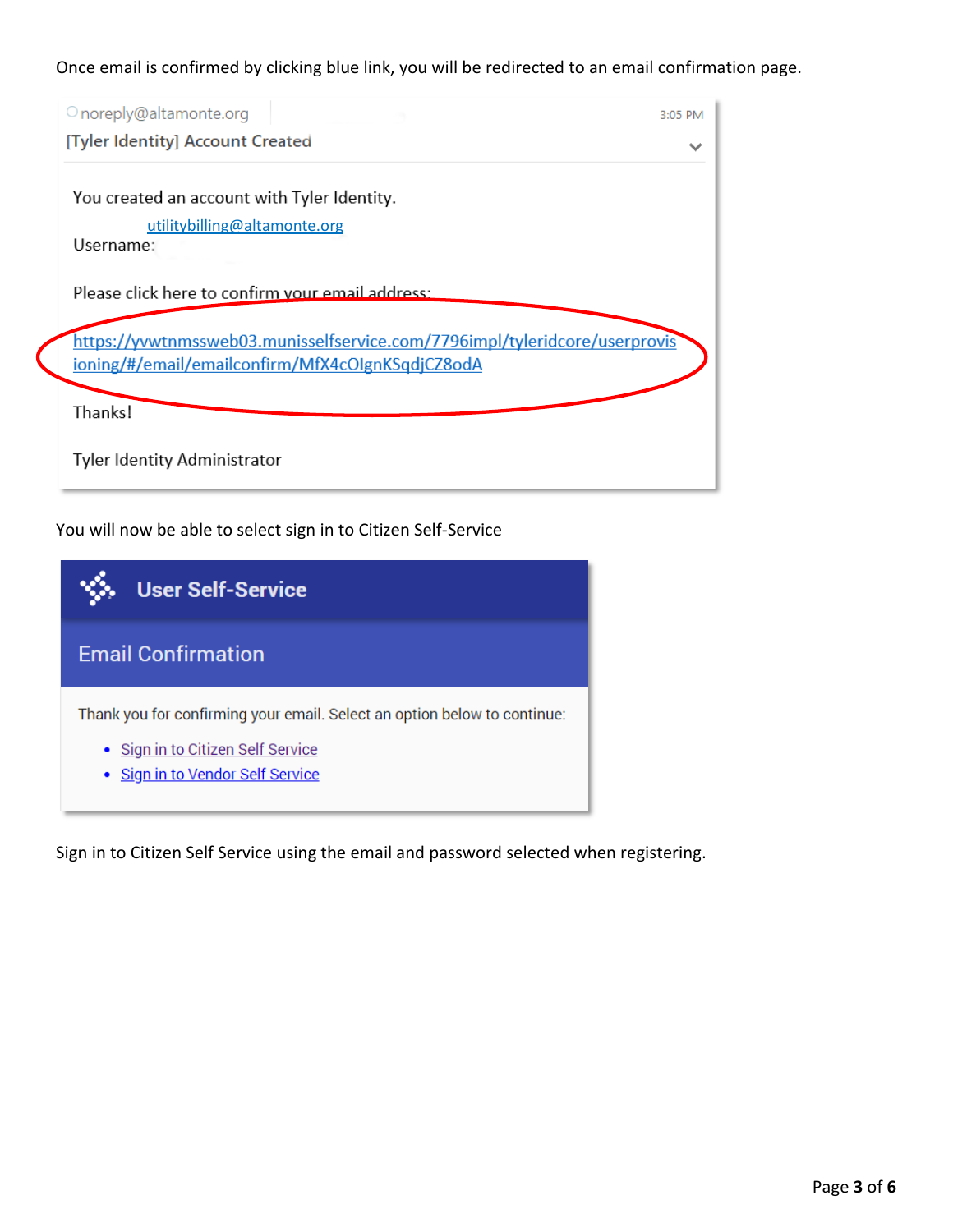Once email is confirmed by clicking blue link, you will be redirected to an email confirmation page.

| O noreply@altamonte.org                                                    | 3:05 PM |
|----------------------------------------------------------------------------|---------|
| [Tyler Identity] Account Created                                           |         |
|                                                                            |         |
| You created an account with Tyler Identity.                                |         |
| utilitybilling@altamonte.org                                               |         |
| Username:                                                                  |         |
|                                                                            |         |
| Please click here to confirm your email address:                           |         |
|                                                                            |         |
| https://yvwtnmssweb03.munisselfservice.com/7796impl/tyleridcore/userprovis |         |
| ioning/#/email/emailconfirm/MfX4cOlgnKSqdjCZ8odA                           |         |
|                                                                            |         |
| Thanks!                                                                    |         |
|                                                                            |         |
| <b>Tyler Identity Administrator</b>                                        |         |
|                                                                            |         |

You will now be able to select sign in to Citizen Self-Service

| <b>User Self-Service</b>                                                                                                                          |
|---------------------------------------------------------------------------------------------------------------------------------------------------|
| <b>Email Confirmation</b>                                                                                                                         |
| Thank you for confirming your email. Select an option below to continue:<br>· Sign in to Citizen Self Service<br>• Sign in to Vendor Self Service |

Sign in to Citizen Self Service using the email and password selected when registering.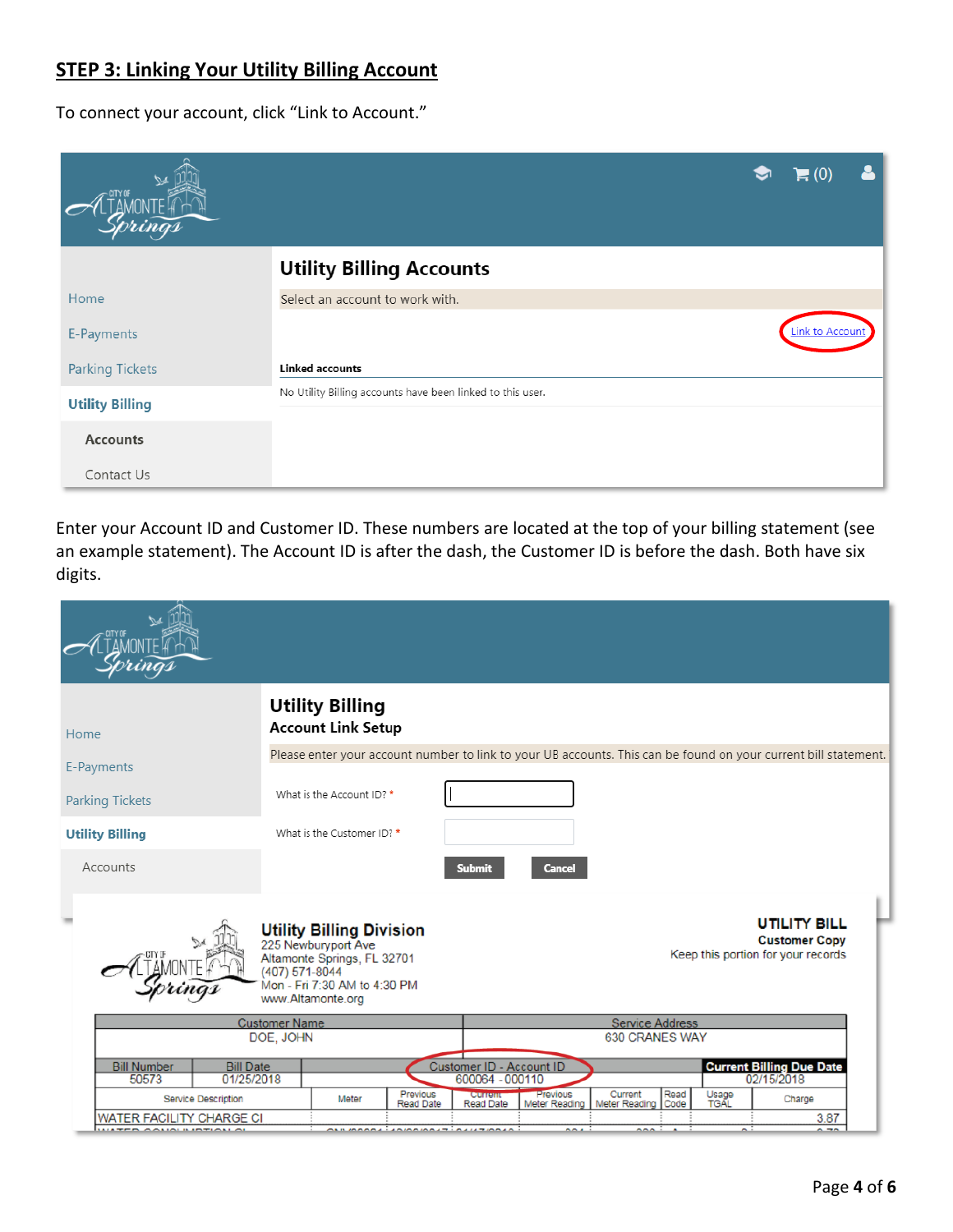# **STEP 3: Linking Your Utility Billing Account**

To connect your account, click "Link to Account."

|                        | $\blacksquare$ (0                                          |
|------------------------|------------------------------------------------------------|
|                        | <b>Utility Billing Accounts</b>                            |
| Home                   | Select an account to work with.                            |
| E-Payments             | <b>Link to Account</b>                                     |
| <b>Parking Tickets</b> | <b>Linked accounts</b>                                     |
| <b>Utility Billing</b> | No Utility Billing accounts have been linked to this user. |
| <b>Accounts</b>        |                                                            |
| Contact Us             |                                                            |

Enter your Account ID and Customer ID. These numbers are located at the top of your billing statement (see an example statement). The Account ID is after the dash, the Customer ID is before the dash. Both have six digits.

| Home                                                          | <b>Utility Billing</b><br><b>Account Link Setup</b>                                                                                                          |                                                                                                                          |
|---------------------------------------------------------------|--------------------------------------------------------------------------------------------------------------------------------------------------------------|--------------------------------------------------------------------------------------------------------------------------|
| E-Payments                                                    |                                                                                                                                                              | Please enter your account number to link to your UB accounts. This can be found on your current bill statement.          |
| <b>Parking Tickets</b>                                        | What is the Account ID? *                                                                                                                                    |                                                                                                                          |
| <b>Utility Billing</b>                                        | What is the Customer ID? *                                                                                                                                   |                                                                                                                          |
| Accounts                                                      |                                                                                                                                                              | <b>Submit</b><br><b>Cancel</b>                                                                                           |
|                                                               | <b>Utility Billing Division</b><br>225 Newburyport Ave<br>Altamonte Springs, FL 32701<br>(407) 571-8044<br>Mon - Fri 7:30 AM to 4:30 PM<br>www.Altamonte.org | <b>UTILITY BILL</b><br><b>Customer Copy</b><br>Keep this portion for your records                                        |
|                                                               | <b>Customer Name</b><br>DOE, JOHN                                                                                                                            | <b>Service Address</b><br><b>630 CRANES WAY</b>                                                                          |
| <b>Bill Number</b><br><b>Bill Date</b><br>50573<br>01/25/2018 |                                                                                                                                                              | Current Billing Due Date<br>02/15/2018<br>Customer ID - Account ID<br>600064 - 000110                                    |
| <b>Service Description</b>                                    | Previous<br>Meter<br>Read Date                                                                                                                               | Previous<br>Current<br>Read<br>Usage<br>TGAL<br>Current<br>Charge<br>Code<br>Meter Reading<br>Meter Reading<br>Read Date |
| WATER FACILITY CHARGE CI<br><b>ULLER ANIAL LIBRALIA</b>       | $\lambda$ and $\lambda$ and $\lambda$ and $\lambda$ and $\lambda$ and $\lambda$                                                                              | 3.87<br>$\sim$ $\pi$<br>$\sim$<br>nnn i s<br>n i                                                                         |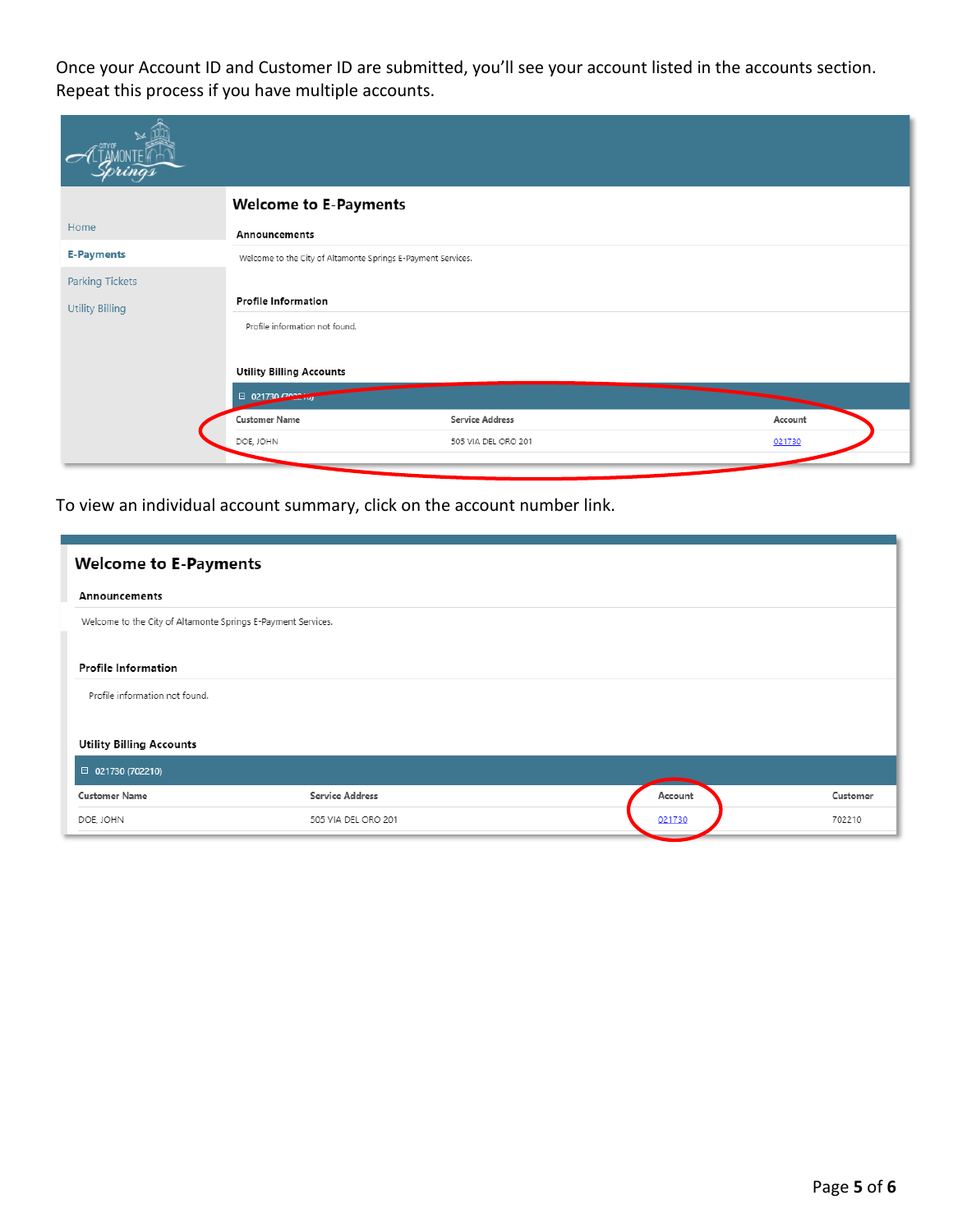Once your Account ID and Customer ID are submitted, you'll see your account listed in the accounts section. Repeat this process if you have multiple accounts.

|                        | <b>Welcome to E-Payments</b>                                 |                        |         |
|------------------------|--------------------------------------------------------------|------------------------|---------|
| Home                   | Announcements                                                |                        |         |
| <b>E-Payments</b>      | Welcome to the City of Altamonte Springs E-Payment Services. |                        |         |
| <b>Parking Tickets</b> |                                                              |                        |         |
| <b>Utility Billing</b> | <b>Profile Information</b>                                   |                        |         |
|                        | Profile information not found.                               |                        |         |
|                        | <b>Utility Billing Accounts</b>                              |                        |         |
|                        | $\Box$ 021730 $\Box$                                         |                        |         |
|                        | <b>Customer Name</b>                                         | <b>Service Address</b> | Account |
|                        | DOE, JOHN                                                    | 505 VIA DEL ORO 201    | 021730  |
|                        |                                                              |                        |         |

To view an individual account summary, click on the account number link.

| <b>Welcome to E-Payments</b>                                 |                        |         |          |
|--------------------------------------------------------------|------------------------|---------|----------|
| Announcements                                                |                        |         |          |
| Welcome to the City of Altamonte Springs E-Payment Services. |                        |         |          |
| <b>Profile Information</b>                                   |                        |         |          |
| Profile information not found.                               |                        |         |          |
| <b>Utility Billing Accounts</b>                              |                        |         |          |
| $\Box$ 021730 (702210)                                       |                        |         |          |
| <b>Customer Name</b>                                         | <b>Service Address</b> | Account | Customer |
| DOE, JOHN                                                    | 505 VIA DEL ORO 201    | 021730  | 702210   |